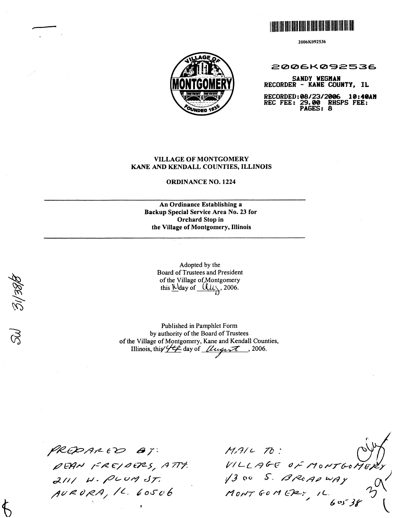

2006K092536



2006K092536

**SANDY WEGHAN RECORDER** - **KANE COUNTY, IL** 

**RECORDED** : **08/23/2096 10** : **46AW REC FEE: 29.00 RHSPS FEE: PAGES: 8** 

# **VILLAGE OF MONTGOMERY KANE AND KENDALL COUNTIES, ILLINOIS**

**ORDINANCE NO. 1224** 

### **An Ordinance Establishing a Backup Special Service Area No. 23 for Orchard Stop in the Village of Montgomery, Illinois**

Adopted by the Board of Trustees and President<br>of the Village of Montgomery<br>this  $\frac{\text{K} \cdot \text{K}}{\text{K}}$  2006.

Published in Pamphlet Form by authority of the Board of Trustees of the Village of Montgomery, Kane and Kendall Counties, Illinois, this  $44$  day of  $\mu$   $\mu$   $\tau$ , 2006.

PREPARED BY: DEAN FREJOERS, ATTY.<br>2111 W. PLUM ST. AURORA, 1L. 60506

 $MALC$  TO: VILLAGE OF MONTGOME,  $1300$  S. BROADWAY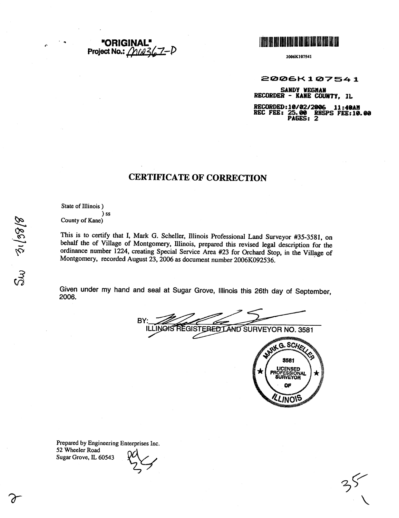



2006K107541

2006K107541

SANDY WEGHAN RECORDER - KANE COUNTY, IL

RECORDED:10/02/2006 11:40AM<br>REC FEE: 25.00 RHSPS FEE:10.00<br>PAGES: 2

# **CERTIFICATE OF CORRECTION**

State of Illinois)

) ss County of Kane)

This is to certify that I, Mark G. Scheller, Illinois Professional Land Surveyor #35-3581, on behalf the of Village of Montgomery, Illinois, prepared this revised legal description for the ordinance number 1224, creating Special Service Area #23 for Orchard Stop, in the Village of Montgomery, recorded August 23, 2006 as document number 2006K092536.

Given under my hand and seal at Sugar Grove, Illinois this 26th day of September, 2006.

BY INOIS REGISTERED LAND SURVEYOR NO. 3581 Ш www*www.* 



35

Prepared by Engineering Enterprises Inc. 52 Wheeler Road Sugar Grove, IL 60543

 $S_{\lambda\lambda}$   $\frac{3}{2}$   $\frac{1}{38}$   $\frac{9}{8}$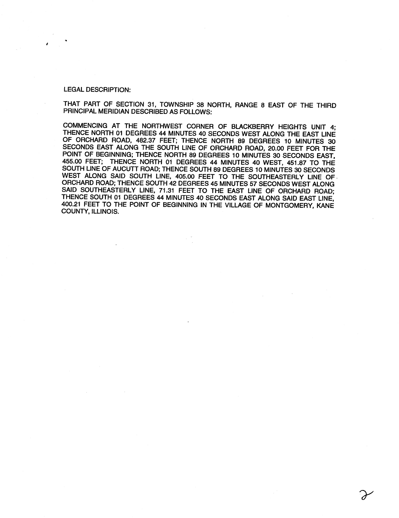#### **LEGAL DESCRIPTION:**

THAT PART OF SECTION 31, TOWNSHIP 38 NORTH, RANGE 8 EAST OF THE THIRD PRINCIPAL MERIDIAN DESCRIBED AS FOLLOWS:

COMMENCING AT THE NORTHWEST CORNER OF BLACKBERRY HEIGHTS UNIT 4: THENCE NORTH 01 DEGREES 44 MINUTES 40 SECONDS WEST ALONG THE EAST LINE OF ORCHARD ROAD, 482.37 FEET; THENCE NORTH 89 DEGREES 10 MINUTES 30 SECONDS EAST ALONG THE SOUTH LINE OF ORCHARD ROAD, 20.00 FEET FOR THE POINT OF BEGINNING; THENCE NORTH 89 DEGREES 10 MINUTES 30 SECONDS EAST, 455.00 FEET; THENCE NORTH 01 DEGREES 44 MINUTES 40 WEST, 451.87 TO THE SOUTH LINE OF AUCUTT ROAD; THENCE SOUTH 89 DEGREES 10 MINUTES 30 SECONDS WEST ALONG SAID SOUTH LINE, 405.00 FEET TO THE SOUTHEASTERLY LINE OF ORCHARD ROAD; THENCE SOUTH 42 DEGREES 45 MINUTES 57 SECONDS WEST ALONG SAID SOUTHEASTERLY LINE, 71.31 FEET TO THE EAST LINE OF ORCHARD ROAD; THENCE SOUTH 01 DEGREES 44 MINUTES 40 SECONDS EAST ALONG SAID EAST LINE, 400.21 FEET TO THE POINT OF BEGINNING IN THE VILLAGE OF MONTGOMERY, KANE **COUNTY, ILLINOIS.**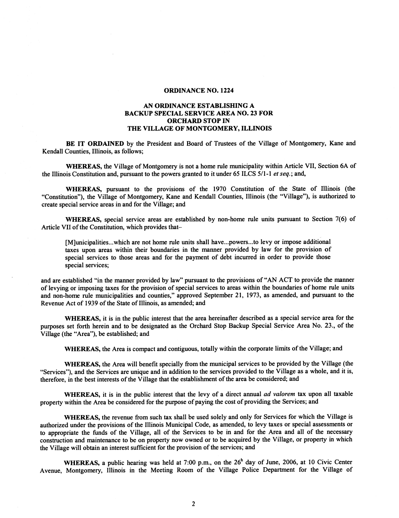### **ORDINANCE NO. 1224**

# **AN ORDINANCE ESTABLISHING A BACKUP SPECIAL SERVICE AREA NO. 23 FOR ORCHARD STOP IN THE VILLAGE OF MONTGOMERY, ILLINOIS**

**BE IT ORDAINED** by the President and Board of Trustees of the Village of Montgomery, Kane and Kendall Counties, Illinois, as follows;

**WHEREAS,** the Village of Montgomery is not a home rule municipality within Article VII, Section 6A of the Illinois Constitution and, pursuant to the powers granted to it under 65 ILCS 511-1 *et* seq.; and,

**WHEREAS,** pursuant to the provisions of the 1970 Constitution of the State of Illinois (the "Constitution"), the Village of Montgomery, Kane and Kendall Counties, Illinois (the "Village"), is authorized to create special service areas in and for the Village; and

**WHEREAS,** special service areas are established by non-home rule units pursuant to Section **7(6)** of Article VII of the Constitution, which provides that-

[M]unicipalities...which are not home rule units shall have...powers...to levy or impose additional taxes upon areas within their boundaries in the manner provided by law for the provision of special services to those areas and for the payment of debt incurred in order to provide those special services;

and are established "in the manner provided by law" pursuant to the provisions of "AN ACT to provide the manner of levying or imposing taxes for the provision of special services to areas within the boundaries of home rule units and non-home rule municipalities and counties," approved September 21, 1973, as amended, and pursuant to the Revenue Act of 1939 of the State of Illinois, as amended; and

**WHEREAS,** it is in the public interest that the area hereinafter described as a special service area for the purposes set forth herein and to be designated as the Orchard Stop Backup Special Service Area No. 23., of the Village (the "Area"), be established; and

**WHEREAS,** the Area is compact and contiguous, totally within the corporate limits of the Village; and

**WHEREAS,** the Area will benefit specially from the municipal services to be provided by the Village (the "Services"), and the Services are unique and in addition to the services provided to the Village as a whole, and it is, therefore, in the best interests of the Village that the establishment of the area be considered; and

**WHEREAS,** it is in the public interest that the levy of a direct annual *ad valorem* tax upon all taxable property within the Area be considered for the purpose of paying the cost of providing the Services; and

**WHEREAS,** the revenue from such tax shall be used solely and only for Services for which the Village is authorized under the provisions of the Illinois Municipal Code, as amended, to levy taxes or special assessments or to appropriate the finds of the Village, all of the Services to be in and for the Area and all of the necessary construction and maintenance to be on property now owned or to be acquired by the Village, or property in which the Village will obtain an interest sufficient for the provision of the services; and

WHEREAS, a public hearing was held at 7:00 p.m., on the 26<sup>h</sup> day of June, 2006, at 10 Civic Center Avenue, Montgomery, Illinois in the Meeting Room of the Village Police Department for the Village of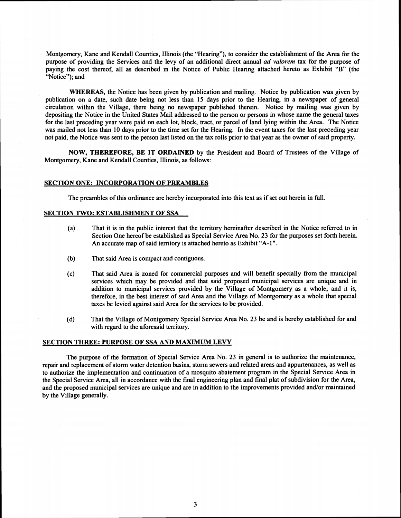Montgomery, Kane and Kendall Counties, Illinois (the "Hearing"), to consider the establishment of the Area for the purpose of providing the Services and the levy of an additional direct annual ad **valorem** tax for the purpose of paying the cost thereof, all as described in the Notice of Public Hearing attached hereto as Exhibit "B" (the "Notice"); and

**WHEREAS,** the Notice has been given by publication and mailing. Notice by publication was given by publication on a date, such date being not less than 15 days prior to the Hearing, in a newspaper of general circulation within the Village, there being no newspaper published therein. Notice by mailing was given by depositing the Notice in the United States Mail addressed to the person or persons in whose name the general taxes for the last preceding year were paid on each lot, block, tract, or parcel of land lying within the Area. The Notice was mailed not less than 10 days prior to the time set for the Hearing. In the event taxes for the last preceding year not paid, the Notice was sent to the person last listed on the tax rolls prior to that year as the owner of said property.

**NOW, THEREFORE, BE IT ORDAINED** by the President and Board of Trustees of the Village of Montgomery, Kane and Kendall Counties, Illinois, as follows:

#### **SECTION ONE: INCORPORATION OF PREAMBLES**

The preambles of this ordinance are hereby incorporated into this text as if set out herein in full.

# **SECTION TWO: ESTABLISHMENT OF SSA**

- **(a)** That it is in the public interest that the territory hereinafter described in the Notice referred to in Section One hereof be established as Special Service Area No. 23 for the purposes set forth herein. An accurate map of said territory is attached hereto as Exhibit "A-1 ".
- (b) That said Area is compact and contiguous.
- (c) That said Area is zoned for commercial purposes and will benefit specially from the municipal services which may be provided and that said proposed municipal services are unique and in addition to municipal services provided by the Village of Montgomery as a whole; and it is, therefore, in the best interest of said Area and the Village of Montgomery as a whole that special taxes be levied against said Area for the services to be provided.
- (d) That the Village of Montgomery Special Service Area No. 23 be and is hereby established for and with regard to the aforesaid territory.

#### **SECTION THREE: PURPOSE OF SSA AND MAXIMUM LEVY**

The purpose of the formation of Special Service Area No. 23 in general is to authorize the maintenance, repair and replacement of storm water detention basins, storm sewers and related areas and appurtenances, as well as to authorize the implementation and continuation of a mosquito abatement program in the Special Service Area in the Special Service Area, all in accordance with the final engineering plan and final plat of subdivision for the Area, and the proposed municipal services are unique and are in addition to the improvements provided and/or maintained by the Village generally.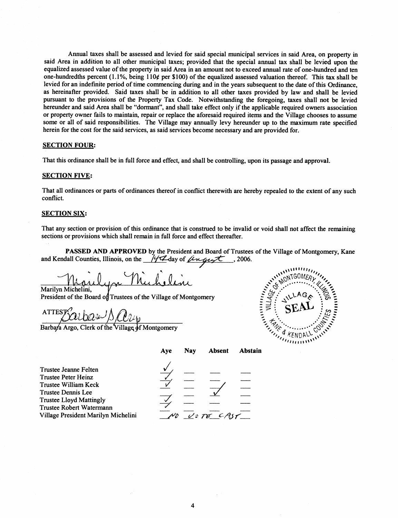Annual taxes shall be assessed and levied for said special municipal services in said Area, on property in said Area in addition to all other municipal taxes; provided that the special annual tax shall be levied upon the equalized assessed value of the property in said Area in an amount not to exceed annual rate of one-hundred and ten one-hundredths percent (1.1%, being  $110¢$  per \$100) of the equalized assessed valuation thereof. This tax shall be levied for an indefinite period of time commencing during and in the years subsequent to the date of this Ordinance, as hereinafter provided. Said taxes shall be in addition to all other taxes provided by law and shall be levied pursuant to the provisions of the Property Tax Code. Notwithstanding the foregoing, taxes shall not be levied hereunder and said Area shall be "dormant", and shall take effect only if the applicable required owners association or property owner fails to maintain, repair or replace the aforesaid required items and the Village chooses to assume some or all of said responsibilities. The Village may annually levy hereunder up to the maximum rate specified herein for the cost for the said services, as said services become necessary and are provided for.

#### **SECTION FOUR:**

That this ordinance shall be in full force and effect, and shall be controlling, upon its passage and approval.

#### **SECTION FIVE:**

That all ordinances or parts of ordinances thereof in conflict therewith are hereby repealed to the extent of any such conflict.

## **SECTION SIX:**

That any section or provision of this ordinance that is construed to be invalid or void shall not affect the remaining sections or provisions which shall remain in full force and effect thereafter.

**PASSED AND APPROVED** by the President and Board of Trustees of the Village of Montgomery, Kane and Kendall Counties, Illinois, on the  $\frac{1}{4}$  day of  $\frac{\hat{\mu}_{\text{max}}}{\hat{\mu}_{\text{max}}}$ , 2006.

en Mucheline

Marilyn Michelini,<br>President of the Board of Trustees of the Village of Montgomery

 $\frac{\text{ATTEST}}{\text{Barbara Argo}, \text{Clerk of the Village of Montgomery}}$ 



|                                                                                                                                                                                                        | Aye | Nav | <b>Absent</b> | <b>Abstain</b> |
|--------------------------------------------------------------------------------------------------------------------------------------------------------------------------------------------------------|-----|-----|---------------|----------------|
| Trustee Jeanne Felten<br>Trustee Peter Heinz<br>Frustee William Keck<br>Trustee Dennis Lee<br><b>Trustee Lloyd Mattingly</b><br><b>Frustee Robert Watermann</b><br>Village President Marilyn Michelini |     |     | $U$ DE CAST   |                |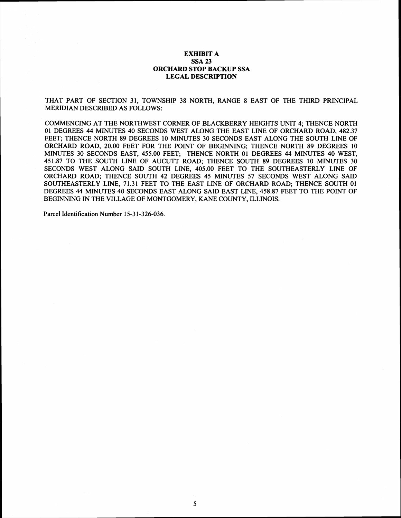### EXHIBIT A SSA 23 ORCHARD STOP BACKUP SSA LEGAL DESCRIPTION

THAT PART OF SECTION **31,** TOWNSHIP **38** NORTH, RANGE **8** EAST OF THE THIRD PRINCIPAL MERIDIAN DESCRIBED AS FOLLOWS:

COMMENCING AT THE NORTHWEST CORNER OF BLACKBERRY HEIGHTS UNIT **4;** THENCE NORTH **01** DEGREES **44** MINUTES **40** SECONDS WEST ALONG THE EAST LINE OF ORCHARD ROAD, **482.37**  FEET; THENCE NORTH **89** DEGREES **10** MINUTES **30** SECONDS EAST ALONG THE SOUTH LINE OF ORCHARD ROAD, **20.00** FEET FOR THE POINT OF BEGINNMG; THENCE NORTH **89** DEGREES **10**  MINUTES **30** SECONDS EAST, **455.00** FEET; THENCE NORTH **01** DEGREES **44** MINUTES **40** WEST, **451.87** TO THE SOUTH LINE OF AUCUTT ROAD; THENCE SOUTH **89** DEGREES **10** MINUTES **30**  SECONDS WEST ALONG SAID SOUTH LINE, **405.00** FEET TO THE SOUTHEASTERLY LINE OF ORCHARD ROAD; THENCE SOUTH **42** DEGREES **45** MINUTES **57** SECONDS WEST ALONG SAID SOUTHEASTERLY LINE, **71.31** FEET TO THE EAST LINE OF ORCHARD ROAD; THENCE SOUTH **01**  DEGREES **44** MINUTES **40** SECONDS EAST ALONG SAID EAST LINE, **458.87** FEET TO THE POINT OF BEGINNMG IN THE VILLAGE OF MONTGOMERY, KANE COUNTY, ILLINOIS.

5

Parcel Identification Number **15-3 1-326-036.**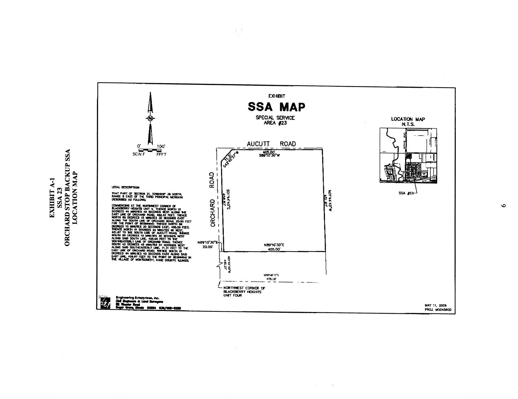

 $\sim$ 

**SSA 23<br>ORCHARD STOP BACKUP SSA<br>LOCATION MAP** ЕХНІВІТ А-1

 $\circ$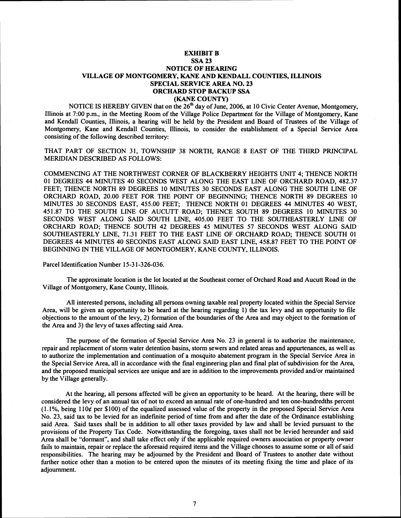### **EXHIBIT B SSA 23 NOTICE OF HEARING VILLAGE OF MONTGOMERY, KANE AND KENDALL COUNTIES, ILLINOIS SPECIAL SERVICE AREA NO. 23 ORCHARD STOP BACKUP SSA (KANE COUNTY)**

NOTICE IS HEREBY GIVEN that on the  $26<sup>th</sup>$  day of June, 2006, at 10 Civic Center Avenue, Montgomery, Illinois at 7:00 p.m., in the Meeting Room of the Village Police Department for the Village of Montgomery, Kane and Kendall Counties, Illinois, a hearing will be held by the President and Board of Trustees of the Village of Montgomery, Kane and Kendall Counties, Illinois, to consider the establishment of a Special Service Area consisting of the following described territory:

THAT PART OF SECTION 31, TOWNSHIP 38 NORTH, RANGE 8 EAST OF THE THIRD PRINCIPAL MERIDIAN DESCRIBED AS FOLLOWS:

COMMENCING AT THE NORTHWEST CORNER OF BLACKBERRY HEIGHTS UNIT 4; THENCE NORTH 01 DEGREES 44 MINUTES 40 SECONDS WEST ALONG THE EAST LINE OF ORCHARD ROAD, 482.37 FEET; THENCE NORTH 89 DEGREES 10 MINUTES 30 SECONDS EAST ALONG THE SOUTH LINE OF ORCHARD ROAD, 20.00 FEET FOR THE POINT OF BEGINNING; THENCE NORTH 89 DEGREES 10 MINUTES 30 SECONDS EAST, 455.00 FEET; THENCE NORTH 01 DEGREES 44 MINUTES 40 WEST, 451.87 TO THE SOUTH LINE OF AUCUTT ROAD; THENCE SOUTH 89 DEGREES 10 MINUTES 30 SECONDS WEST ALONG SAID SOUTH LINE, 405.00 FEET TO THE SOUTHEASTERLY LINE OF ORCHARD ROAD; THENCE SOUTH 42 DEGREES 45 MINUTES 57 SECONDS WEST ALONG SAID SOUTHEASTERLY LINE, 71.3 1 FEET TO THE EAST LINE OF ORCHARD ROAD; THENCE SOUTH 01 DEGREES 44 MINUTES 40 SECONDS EAST ALONG SAID EAST LINE, 458.87 FEET TO THE POINT OF BEGINNING IN THE VILLAGE OF MONTGOMERY, KANE COUNTY, ILLINOIS.

Parcel Identification Number 15-3 1-326-036.

The approximate location is the lot located at the Southeast comer of Orchard Road and Aucutt Road in the Village of Montgomery, Kane County, Illinois.

All interested persons, including all persons owning taxable real property located within the Special Service Area, will be given an opportunity to be heard at the hearing regarding 1) the tax levy and an opportunity to file objections to the amount of the levy, 2) formation of the boundaries of the Area and may object to the formation of the Area and 3) the levy of taxes affecting said Area.

The purpose of the formation of Special Service Area No. 23 in general is to authorize the maintenance, repair and replacement of storm water detention basins, storm sewers and related areas and appurtenances, as well as to authorize the implementation and continuation of a mosquito abatement program in the Special Service Area in the Special Service Area, all in accordance with the final engineering plan and final plat of subdivision for the Area, and the proposed municipal services are unique and are in addition to the improvements provided and/or maintained by the Village generally.

At the hearing, all persons affected will be given an opportunity to be heard. At the hearing, there will be considered the levy of an annual tax of not to exceed an annual rate of one-hundred and ten one-hundredths percent  $(1.1\%$ , being  $110\ell$  per \$100) of the equalized assessed value of the property in the proposed Special Service Area No. 23, said tax to be levied for an indefinite period of time from and after the date of the Ordinance establishing said Area. Said taxes shall be in addition to all other taxes provided by law and shall be levied pursuant to the provisions of the Property Tax Code. Notwithstanding the foregoing, taxes shall not be levied hereunder and said Area shall be "dormant", and shall take effect only if the applicable required owners association or property owner fails to maintain, repair or replace the aforesaid required items and the Village chooses to assume some or all of said responsibilities. The hearing may be adjourned by the President and Board of Trustees to another date without further notice other than a motion to be entered upon the minutes of its meeting fixing the time and place of its adjournment.